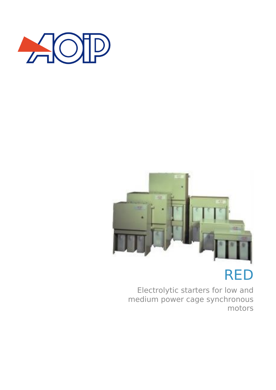

# RED

Electrolytic starters for low and medium power cage synchronous motors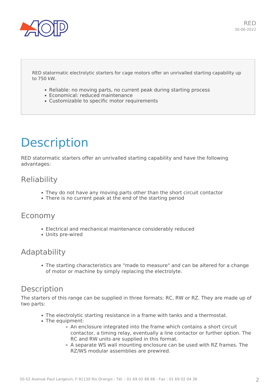

#### RED statormatic electrolytic starters for cage motors offer an unrivalled starting capability up to 750 kW.

- Reliable: no moving parts, no current peak during starting process
- Economical: reduced maintenance
- Customizable to specific motor requirements

## **Description**

RED statormatic starters offer an unrivalled starting capability and have the following advantages:

### **Reliability**

- They do not have any moving parts other than the short circuit contactor
- There is no current peak at the end of the starting period

### Economy

- Electrical and mechanical maintenance considerably reduced
- Units pre-wired

### Adaptability

The starting characteristics are "made to measure" and can be altered for a change of motor or machine by simply replacing the electrolyte.

### **Description**

The starters of this range can be supplied in three formats: RC, RW or RZ. They are made up of two parts:

- The electrolytic starting resistance in a frame with tanks and a thermostat.
- The equipment:
	- An enclosure integrated into the frame which contains a short circuit contactor, a timing relay, eventually a line contactor or further option. The RC and RW units are supplied in this format.
	- A separate WS wall mounting enclosure can be used with RZ frames. The RZ/WS modular assemblies are prewired.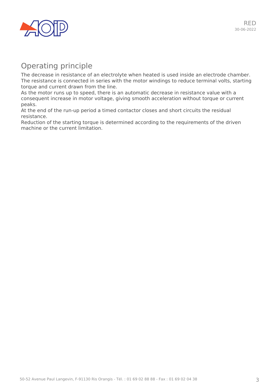

### Operating principle

The decrease in resistance of an electrolyte when heated is used inside an electrode chamber. The resistance is connected in series with the motor windings to reduce terminal volts, starting torque and current drawn from the line.

As the motor runs up to speed, there is an automatic decrease in resistance value with a consequent increase in motor voltage, giving smooth acceleration without torque or current peaks.

At the end of the run-up period a timed contactor closes and short circuits the residual resistance.

Reduction of the starting torque is determined according to the requirements of the driven machine or the current limitation.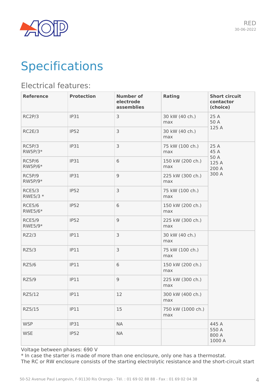

## **Specifications**

### Electrical features:

| <b>Reference</b>         | <b>Protection</b> | <b>Number of</b><br>electrode<br>assemblies | <b>Rating</b>            | <b>Short circuit</b><br>contactor<br>(choice) |
|--------------------------|-------------------|---------------------------------------------|--------------------------|-----------------------------------------------|
| RC2P/3                   | IP31              | 3                                           | 30 kW (40 ch.)<br>max    | 25 A<br>50 A                                  |
| RC2E/3                   | IP52              | 3                                           | 30 kW (40 ch.)<br>max    | 125 A                                         |
| RC5P/3<br>RW5P/3*        | IP31              | 3                                           | 75 kW (100 ch.)<br>max   | 25 A<br>45 A                                  |
| RC5P/6<br>RW5P/6*        | IP31              | 6                                           | 150 kW (200 ch.)<br>max  | 50 A<br>125 A<br>200 A<br>300 A               |
| RC5P/9<br>RW5P/9*        | IP31              | $\overline{9}$                              | 225 kW (300 ch.)<br>max  |                                               |
| RCE5/3<br>RWE5/3 *       | IP52              | 3                                           | 75 kW (100 ch.)<br>max   |                                               |
| <b>RCE5/6</b><br>RWE5/6* | IP52              | 6                                           | 150 kW (200 ch.)<br>max  |                                               |
| <b>RCE5/9</b><br>RWE5/9* | IP52              | $\overline{9}$                              | 225 kW (300 ch.)<br>max  |                                               |
| RZ2/3                    | IP11              | 3                                           | 30 kW (40 ch.)<br>max    |                                               |
| RZ5/3                    | IP11              | 3                                           | 75 kW (100 ch.)<br>max   |                                               |
| RZ5/6                    | IP11              | 6                                           | 150 kW (200 ch.)<br>max  |                                               |
| RZ5/9                    | IP11              | $\mathsf 9$                                 | 225 kW (300 ch.)<br>max  |                                               |
| RZ5/12                   | IP11              | 12                                          | 300 kW (400 ch.)<br>max  |                                               |
| RZ5/15                   | IP11              | 15                                          | 750 kW (1000 ch.)<br>max |                                               |
| <b>WSP</b>               | <b>IP31</b>       | <b>NA</b>                                   |                          | 445 A                                         |
| <b>WSE</b>               | <b>IP52</b>       | <b>NA</b>                                   |                          | 550 A<br>800 A<br>1000 A                      |

Voltage between phases: 690 V

\* In case the starter is made of more than one enclosure, only one has a thermostat.

The RC or RW enclosure consists of the starting electrolytic resistance and the short-circuit start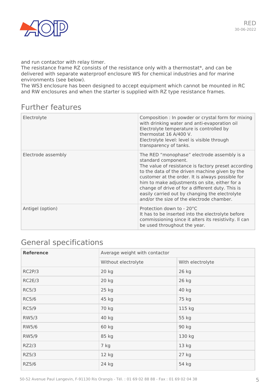

and run contactor with relay timer.

The resistance frame RZ consists of the resistance only with a thermostat\*, and can be delivered with separate waterproof enclosure WS for chemical industries and for marine environments (see below).

The WS3 enclosure has been designed to accept equipment which cannot be mounted in RC and RW enclosures and when the starter is supplied with RZ type resistance frames.

### Further features

| Electrolyte        | Composition : In powder or crystal form for mixing<br>with drinking water and anti-evaporation oil<br>Electrolyte temperature is controlled by<br>thermostat 16 A/400 V.<br>Electrolyte level: level is visible through<br>transparency of tanks.                                                                                                                                                                                   |
|--------------------|-------------------------------------------------------------------------------------------------------------------------------------------------------------------------------------------------------------------------------------------------------------------------------------------------------------------------------------------------------------------------------------------------------------------------------------|
| Electrode assembly | The RED "monophase" electrode assembly is a<br>standard component.<br>The value of resistance is factory preset according<br>to the data of the driven machine given by the<br>customer at the order. It is always possible for<br>him to make adjustments on site, either for a<br>change of drive of for a different duty. This is<br>easily carried out by changing the electrolyte<br>and/or the size of the electrode chamber. |
| Antigel (option)   | Protection down to - 20°C<br>It has to be inserted into the electrolyte before<br>commissioning since it alters its resistivity. Il can<br>be used throughout the year.                                                                                                                                                                                                                                                             |

## General specifications

| <b>Reference</b> | Average weight with contactor |                  |  |
|------------------|-------------------------------|------------------|--|
|                  | Without electrolyte           | With electrolyte |  |
| RC2P/3           | 20 kg                         | 26 kg            |  |
| RC2E/3           | 20 kg                         | 26 kg            |  |
| RC5/3            | $25$ kg                       | 40 kg            |  |
| <b>RC5/6</b>     | 45 kg                         | 75 kg            |  |
| <b>RC5/9</b>     | 70 kg                         | 115 kg           |  |
| RW5/3            | 40 kg                         | 55 kg            |  |
| RW5/6            | 60 kg                         | 90 kg            |  |
| <b>RW5/9</b>     | 85 kg                         | 130 kg           |  |
| RZ2/3            | 7 kg                          | 13 <sub>kg</sub> |  |
| RZ5/3            | 12 kg                         | 27 kg            |  |
| RZ5/6            | 24 kg                         | 54 kg            |  |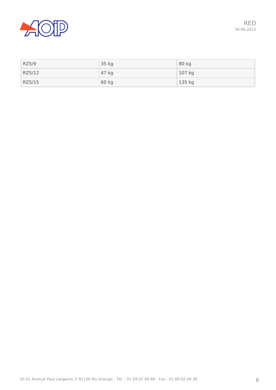

| RZ5/9  | 35 kg | 80 kg  |
|--------|-------|--------|
| RZ5/12 | 47 kg | 107 kg |
| RZ5/15 | 60 kg | 135 kg |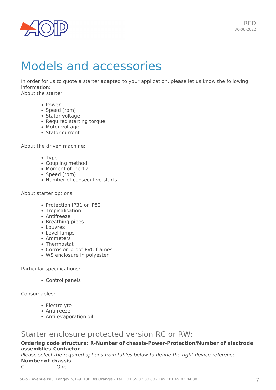

## Models and accessories

In order for us to quote a starter adapted to your application, please let us know the following information: About the starter:

- Power
- Speed (rpm)
- Stator voltage
- Required starting torque
- Motor voltage
- Stator current

About the driven machine:

- Type
- Coupling method
- Moment of inertia
- Speed (rpm)
- Number of consecutive starts

#### About starter options:

- Protection IP31 or IP52
- Tropicalisation
- Antifreeze
- Breathing pipes
- Louvres
- Level lamps
- Ammeters
- Thermostat
- Corrosion proof PVC frames
- WS enclosure in polyester

Particular specifications:

Control panels

Consumables:

- Electrolyte
- Antifreeze
- Anti-evaporation oil

### Starter enclosure protected version RC or RW:

#### **Ordering code structure: R-Number of chassis-Power-Protection/Number of electrode assemblies-Contactor**

*Please select the required options from tables below to define the right device reference.* **Number of chassis**

C One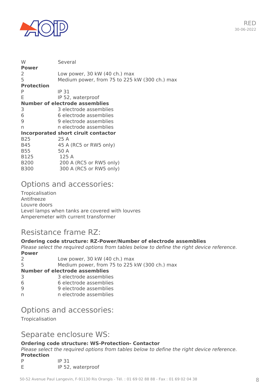

| W                 | Several                                       |
|-------------------|-----------------------------------------------|
| <b>Power</b><br>2 | Low power, 30 kW (40 ch.) max                 |
| 5                 | Medium power, from 75 to 225 kW (300 ch.) max |
| <b>Protection</b> |                                               |
| P                 | IP 31                                         |
| F                 | IP 52, waterproof                             |
|                   | Number of electrode assemblies                |
| 3                 | 3 electrode assemblies                        |
| 6                 | 6 electrode assemblies                        |
| 9                 | 9 electrode assemblies                        |
| n                 | n electrode assemblies                        |
|                   | <b>Incorporated short ciruit contactor</b>    |
| B <sub>25</sub>   | 25 A                                          |
| <b>B45</b>        | 45 A (RC5 or RW5 only)                        |
| <b>B55</b>        | 50 A                                          |
| <b>B125</b>       | 125A                                          |
| <b>B200</b>       | 200 A (RC5 or RW5 only)                       |
| <b>B300</b>       | 300 A (RC5 or RW5 only)                       |

### Options and accessories:

Tropicalisation Antifreeze Louvre doors Level lamps when tanks are covered with louvres Amperemeter with current transformer

## Resistance frame RZ:

### **Ordering code structure: RZ-Power/Number of electrode assemblies**

*Please select the required options from tables below to define the right device reference.* **Power**

|    | Low power, 30 kW (40 ch.) max                 |
|----|-----------------------------------------------|
| 5. | Medium power, from 75 to 225 kW (300 ch.) max |
|    | <b>Number of electrode assemblies</b>         |
| 3  | 3 electrode assemblies                        |
| 6  | 6 electrode assemblies                        |
| g  | 9 electrode assemblies                        |

n n electrode assemblies

### Options and accessories:

**Tropicalisation** 

### Separate enclosure WS:

### **Ordering code structure: WS-Protection- Contactor**

*Please select the required options from tables below to define the right device reference.*

#### **Protection**

| P | IP 31             |
|---|-------------------|
|   | IP 52, waterproof |